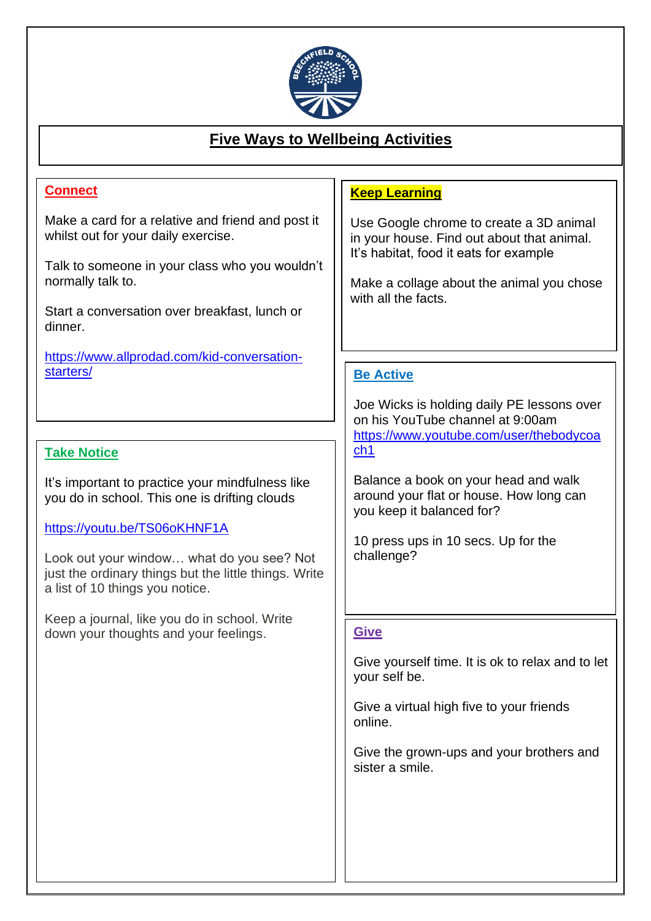

#### j **Five Ways to Wellbeing Activities**

## **Connect**

j

wake a card for a relative and m<br>whilst out for your daily exercise. Make a card for a relative and friend and post it

Talk to someone in your class who you wouldn't normally talk to.

Start a conversation over breakfast, lunch or dinner.

[https://www.allprodad.com/kid-conversation](https://www.allprodad.com/kid-conversation-starters/)[starters/](https://www.allprodad.com/kid-conversation-starters/)

#### **Take Notice**

It's important to practice your mindfulness like you do in school. This one is drifting clouds

#### <https://youtu.be/TS06oKHNF1A>

Look out your window… what do you see? Not just the ordinary things but the little things. Write a list of 10 things you notice.

Keep a journal, like you do in school. Write down your thoughts and your feelings.

#### **Keep Learning**

Use Google chrome to create a 3D animal in your house. Find out about that animal. It's habitat, food it eats for example

Make a collage about the animal you chose with all the facts.

### **Be Active**

Joe Wicks is holding daily PE lessons over on his YouTube channel at 9:00am [https://www.youtube.com/user/thebodycoa](https://www.youtube.com/user/thebodycoach1) [ch1](https://www.youtube.com/user/thebodycoach1)

Balance a book on your head and walk around your flat or house. How long can you keep it balanced for?

10 press ups in 10 secs. Up for the challenge?

#### **Give**

Give yourself time. It is ok to relax and to let your self be.

Give a virtual high five to your friends online.

Give the grown-ups and your brothers and sister a smile.